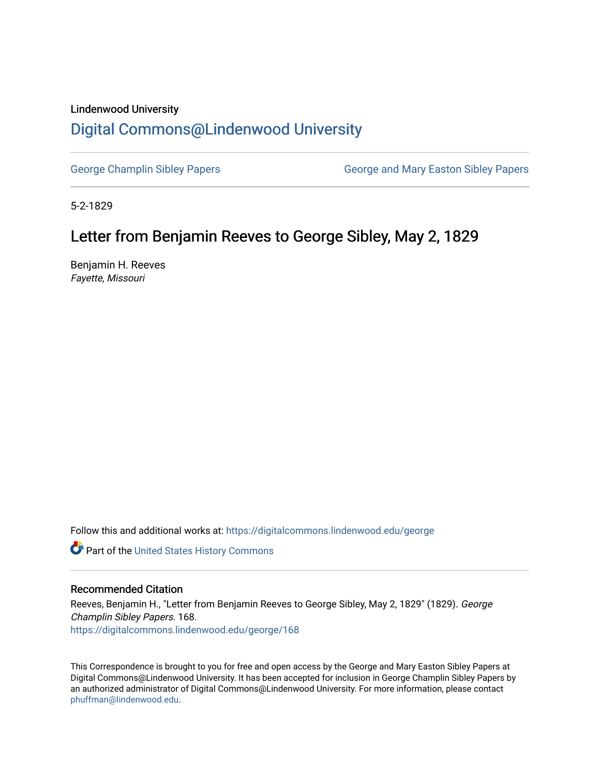### Lindenwood University

# [Digital Commons@Lindenwood University](https://digitalcommons.lindenwood.edu/)

[George Champlin Sibley Papers](https://digitalcommons.lindenwood.edu/george) George and Mary Easton Sibley Papers

5-2-1829

# Letter from Benjamin Reeves to George Sibley, May 2, 1829

Benjamin H. Reeves Fayette, Missouri

Follow this and additional works at: [https://digitalcommons.lindenwood.edu/george](https://digitalcommons.lindenwood.edu/george?utm_source=digitalcommons.lindenwood.edu%2Fgeorge%2F168&utm_medium=PDF&utm_campaign=PDFCoverPages)

Part of the [United States History Commons](http://network.bepress.com/hgg/discipline/495?utm_source=digitalcommons.lindenwood.edu%2Fgeorge%2F168&utm_medium=PDF&utm_campaign=PDFCoverPages) 

### Recommended Citation

Reeves, Benjamin H., "Letter from Benjamin Reeves to George Sibley, May 2, 1829" (1829). George Champlin Sibley Papers. 168. [https://digitalcommons.lindenwood.edu/george/168](https://digitalcommons.lindenwood.edu/george/168?utm_source=digitalcommons.lindenwood.edu%2Fgeorge%2F168&utm_medium=PDF&utm_campaign=PDFCoverPages)

This Correspondence is brought to you for free and open access by the George and Mary Easton Sibley Papers at Digital Commons@Lindenwood University. It has been accepted for inclusion in George Champlin Sibley Papers by an authorized administrator of Digital Commons@Lindenwood University. For more information, please contact [phuffman@lindenwood.edu](mailto:phuffman@lindenwood.edu).